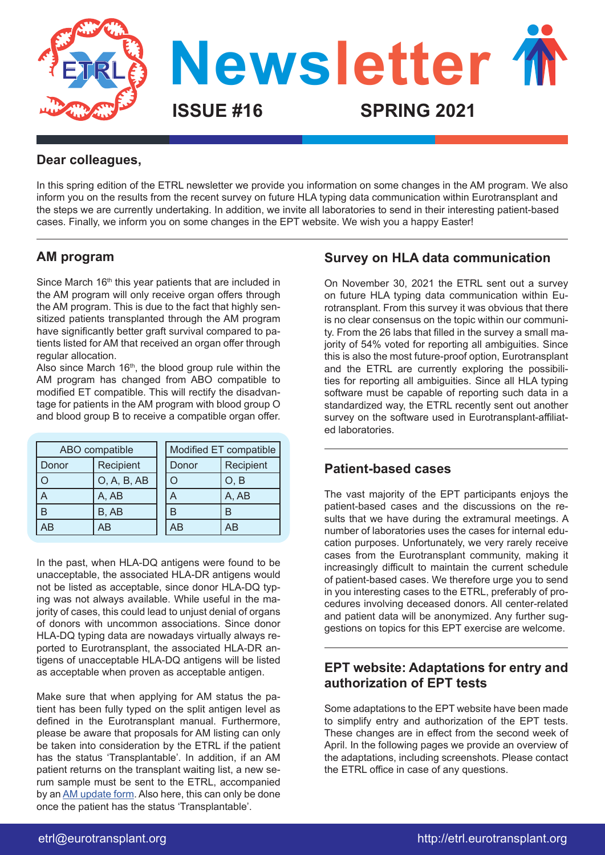

## **Dear colleagues,**

In this spring edition of the ETRL newsletter we provide you information on some changes in the AM program. We also inform you on the results from the recent survey on future HLA typing data communication within Eurotransplant and the steps we are currently undertaking. In addition, we invite all laboratories to send in their interesting patient-based cases. Finally, we inform you on some changes in the EPT website. We wish you a happy Easter!

# **AM program**

Since March 16<sup>th</sup> this year patients that are included in the AM program will only receive organ offers through the AM program. This is due to the fact that highly sensitized patients transplanted through the AM program have significantly better graft survival compared to patients listed for AM that received an organ offer through regular allocation.

Also since March  $16<sup>th</sup>$ , the blood group rule within the AM program has changed from ABO compatible to modified ET compatible. This will rectify the disadvantage for patients in the AM program with blood group O and blood group B to receive a compatible organ offer.

|       | ABO compatible |       | Modified ET compatible |
|-------|----------------|-------|------------------------|
| Donor | Recipient      | Donor | Recipient              |
|       | O, A, B, AB    |       | O, B                   |
|       | A, AB          | A     | A, AB                  |
|       | B, AB          | R     | B                      |
| ١B    | AΒ             |       | ΑB                     |

In the past, when HLA-DQ antigens were found to be unacceptable, the associated HLA-DR antigens would not be listed as acceptable, since donor HLA-DQ typing was not always available. While useful in the majority of cases, this could lead to unjust denial of organs of donors with uncommon associations. Since donor HLA-DQ typing data are nowadays virtually always reported to Eurotransplant, the associated HLA-DR antigens of unacceptable HLA-DQ antigens will be listed as acceptable when proven as acceptable antigen.

Make sure that when applying for AM status the patient has been fully typed on the split antigen level as defined in the Eurotransplant manual. Furthermore, please be aware that proposals for AM listing can only be taken into consideration by the ETRL if the patient has the status 'Transplantable'. In addition, if an AM patient returns on the transplant waiting list, a new serum sample must be sent to the ETRL, accompanied by an [AM update form.](https://etrl.eurotransplant.org/wp-content/uploads/2020/10/AM-update-form-2020.xlsx) Also here, this can only be done once the patient has the status 'Transplantable'.

## **Survey on HLA data communication**

On November 30, 2021 the ETRL sent out a survey on future HLA typing data communication within Eurotransplant. From this survey it was obvious that there is no clear consensus on the topic within our community. From the 26 labs that filled in the survey a small majority of 54% voted for reporting all ambiguities. Since this is also the most future-proof option, Eurotransplant and the ETRL are currently exploring the possibilities for reporting all ambiguities. Since all HLA typing software must be capable of reporting such data in a standardized way, the ETRL recently sent out another survey on the software used in Eurotransplant-affiliated laboratories.

# **Patient-based cases**

The vast majority of the EPT participants enjoys the patient-based cases and the discussions on the results that we have during the extramural meetings. A number of laboratories uses the cases for internal education purposes. Unfortunately, we very rarely receive cases from the Eurotransplant community, making it increasingly difficult to maintain the current schedule of patient-based cases. We therefore urge you to send in you interesting cases to the ETRL, preferably of procedures involving deceased donors. All center-related and patient data will be anonymized. Any further suggestions on topics for this EPT exercise are welcome.

# **EPT website: Adaptations for entry and authorization of EPT tests**

Some adaptations to the EPT website have been made to simplify entry and authorization of the EPT tests. These changes are in effect from the second week of April. In the following pages we provide an overview of the adaptations, including screenshots. Please contact the ETRL office in case of any questions.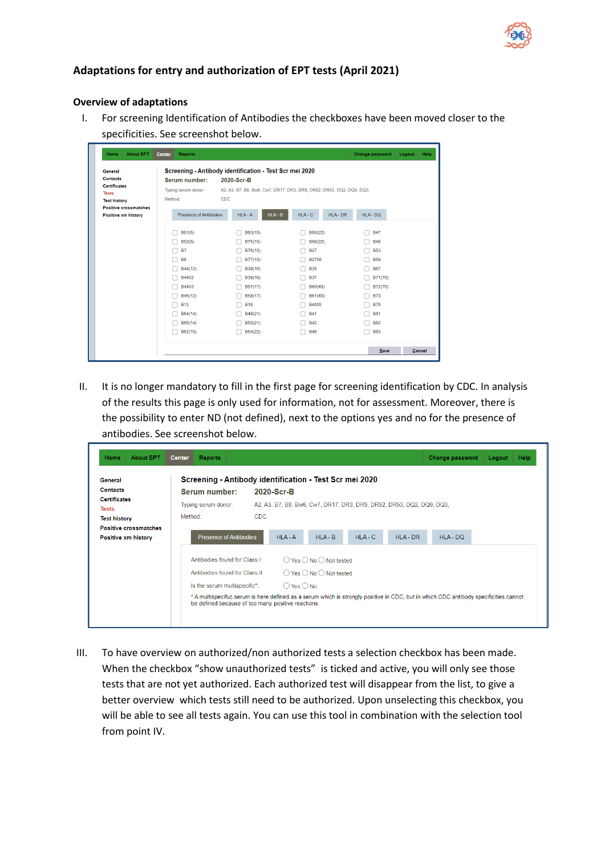

### **Adaptations for entry and authorization of EPT tests (April 2021)**

#### **Overview of adaptations**

I. For screening Identification of Antibodies the checkboxes have been moved closer to the specificities. See screenshot below.

| General                                                                       |                                                 | Screening - Antibody identification - Test Scr mei 2020 |                                                                      |            |  |
|-------------------------------------------------------------------------------|-------------------------------------------------|---------------------------------------------------------|----------------------------------------------------------------------|------------|--|
| <b>Contacts</b><br><b>Certificates</b><br><b>Tests</b><br><b>Test history</b> | Serum number:<br>Typing serum donor:<br>Method: | 2020-Scr-B<br>CDC.                                      | A2, A3, B7, B8, Bw6, Cw7, DR17, DR3, DR9, DR52, DR53, DQ2, DQ9, DQ3, |            |  |
| <b>Positive crossmatches</b>                                                  |                                                 |                                                         |                                                                      |            |  |
| Positive xm history                                                           | Presence of Antibodies                          | $HLA - B$<br>$HLA - A$                                  | $HLA - C$<br>$HLA - DR$                                              | HLA-DQ     |  |
|                                                                               |                                                 |                                                         |                                                                      |            |  |
|                                                                               | B51(5)                                          | B63(15)                                                 | B55(22)                                                              | <b>B47</b> |  |
|                                                                               | B52(5)                                          | B75(15)                                                 | B56(22)                                                              | <b>B48</b> |  |
|                                                                               | <b>B7</b>                                       | B76(15)                                                 | <b>B27</b>                                                           | <b>B53</b> |  |
|                                                                               | <b>B8</b>                                       | B77(15)                                                 | <b>B2708</b>                                                         | <b>B59</b> |  |
|                                                                               | B44(12)                                         | B38(16)                                                 | <b>B35</b>                                                           | <b>B67</b> |  |
|                                                                               | B4402                                           | B39(16)                                                 | <b>B37</b>                                                           | B71(70)    |  |
|                                                                               | B4403                                           | B57(17)                                                 | B60(40)                                                              | B72(70)    |  |
|                                                                               | B45(12)                                         | B58(17)                                                 | B61(40)                                                              | <b>B73</b> |  |
|                                                                               | <b>B13</b>                                      | <b>B18</b>                                              | <b>B4005</b>                                                         | <b>B78</b> |  |
|                                                                               | B64(14)                                         | B49(21)                                                 | <b>B41</b>                                                           | <b>B81</b> |  |
|                                                                               | B65(14)                                         | B50(21)                                                 | <b>B42</b>                                                           | <b>B82</b> |  |
|                                                                               | B62(15)                                         | B54(22)                                                 | <b>B46</b>                                                           | <b>B83</b> |  |

II. It is no longer mandatory to fill in the first page for screening identification by CDC. In analysis of the results this page is only used for information, not for assessment. Moreover, there is the possibility to enter ND (not defined), next to the options yes and no for the presence of antibodies. See screenshot below.

| General                      | Screening - Antibody identification - Test Scr mei 2020                                                                              |            |            |                                                    |           |                                                                      |            |  |
|------------------------------|--------------------------------------------------------------------------------------------------------------------------------------|------------|------------|----------------------------------------------------|-----------|----------------------------------------------------------------------|------------|--|
| <b>Contacts</b>              | Serum number:                                                                                                                        |            | 2020-Scr-B |                                                    |           |                                                                      |            |  |
| <b>Certificates</b>          | Typing serum donor:                                                                                                                  |            |            |                                                    |           | A2, A3, B7, B8, Bw6, Cw7, DR17, DR3, DR9, DR52, DR53, DQ2, DQ9, DQ3, |            |  |
| <b>Tests</b>                 |                                                                                                                                      |            |            |                                                    |           |                                                                      |            |  |
| <b>Test history</b>          | Method:                                                                                                                              | <b>CDC</b> |            |                                                    |           |                                                                      |            |  |
| <b>Positive crossmatches</b> |                                                                                                                                      |            |            |                                                    |           |                                                                      |            |  |
| <b>Positive xm history</b>   | <b>Presence of Antibodies</b>                                                                                                        |            | $HLA - A$  | $HLA - B$                                          | $HLA - C$ | HLA-DR                                                               | $HLA - DQ$ |  |
|                              | Antibodies found for Class I:                                                                                                        |            |            | $\bigcirc$ Yes $\bigcirc$ No $\bigcirc$ Not tested |           |                                                                      |            |  |
|                              | $\bigcirc$ Yes $\bigcirc$ No $\bigcirc$ Not tested<br>Antibodies found for Class II:                                                 |            |            |                                                    |           |                                                                      |            |  |
|                              | $\bigcirc$ Yes $\bigcirc$ No<br>Is the serum multispecific*:                                                                         |            |            |                                                    |           |                                                                      |            |  |
|                              | * A multispecifuc serum is here defined as a serum which is strongly positive in CDC, but in which CDC antibody specificities cannot |            |            |                                                    |           |                                                                      |            |  |

III. To have overview on authorized/non authorized tests a selection checkbox has been made. When the checkbox "show unauthorized tests" is ticked and active, you will only see those tests that are not yet authorized. Each authorized test will disappear from the list, to give a better overview which tests still need to be authorized. Upon unselecting this checkbox, you will be able to see all tests again. You can use this tool in combination with the selection tool from point IV.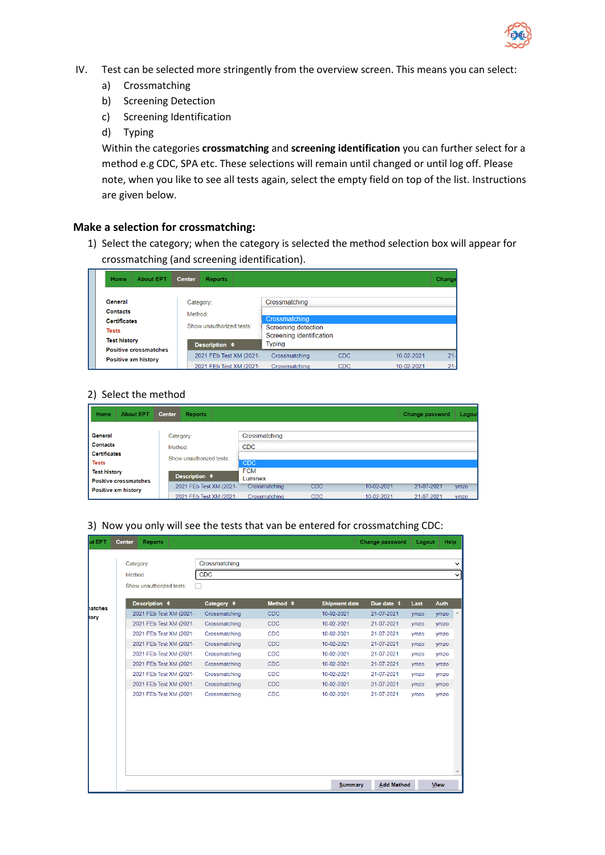

- IV. Test can be selected more stringently from the overview screen. This means you can select:
	- a) Crossmatching
	- b) Screening Detection
	- c) Screening Identification
	- d) Typing

Within the categories **crossmatching** and **screening identification** you can further select for a method e.g CDC, SPA etc. These selections will remain until changed or until log off. Please note, when you like to see all tests again, select the empty field on top of the list. Instructions are given below.

### **Make a selection for crossmatching:**

1) Select the category; when the category is selected the method selection box will appear for crossmatching (and screening identification).

| <b>About EPT</b><br>Home                                   | <b>Center</b><br><b>Reports</b> |                                           |            |            | Change |
|------------------------------------------------------------|---------------------------------|-------------------------------------------|------------|------------|--------|
| General                                                    | Category:                       | Crossmatching                             |            |            |        |
| <b>Contacts</b>                                            | Method:                         |                                           |            |            |        |
| <b>Contificatos</b>                                        |                                 | Crossmatching                             |            |            |        |
| <b>Tests</b>                                               | Show unauthorized tests:        | Screening detection                       |            |            |        |
| <b>Test history</b>                                        | Description $\triangleq$        | Screening identification<br><b>Typing</b> |            |            |        |
| <b>Positive crossmatches</b><br><b>Positive xm history</b> | 2021 FEb Test XM (2021-         | Crossmatching                             | <b>CDC</b> | 10-02-2021 | 21     |
|                                                            | 2021 FEb Test XM (2021-         | Crossmatching                             | CDC.       | 10-02-2021 | $21 -$ |

## 2) Select the method

| Home<br><b>About EPT</b>     | <b>Center</b><br><b>Reports</b> |               |            |            | Change password | Logou |
|------------------------------|---------------------------------|---------------|------------|------------|-----------------|-------|
|                              |                                 |               |            |            |                 |       |
| General                      | Category:                       | Crossmatching |            |            |                 |       |
| <b>Contacts</b>              | Method:                         | <b>CDC</b>    |            |            |                 |       |
| <b>Certificates</b>          | Show unauthorized tests:        |               |            |            |                 |       |
| <b>Tests</b>                 |                                 | <b>CDC</b>    |            |            |                 |       |
| <b>Test history</b>          | Description $\triangleq$        | <b>FCM</b>    |            |            |                 |       |
| <b>Positive crossmatches</b> |                                 | Luminex       |            |            |                 |       |
| <b>Positive xm history</b>   | 2021 FEb Test XM (2021-         | Crossmatching | <b>CDC</b> | 10-02-2021 | 21-07-2021      | vmzo  |
|                              | 2021 FEb Test XM (2021-         | Crossmatching | <b>CDC</b> | 10-02-2021 | 21-07-2021      | vmzo  |

### 3) Now you only will see the tests that van be entered for crossmatching CDC:

| ut EPT        | <b>Center</b> | <b>Reports</b>           |                      |                     |                      | Change password   | Logout | Help        |              |
|---------------|---------------|--------------------------|----------------------|---------------------|----------------------|-------------------|--------|-------------|--------------|
|               |               | Category:                | Crossmatching        |                     |                      |                   |        |             | $\checkmark$ |
|               | Method:       |                          | <b>CDC</b>           |                     |                      |                   |        |             | $\checkmark$ |
|               |               | Show unauthorized tests: |                      |                     |                      |                   |        |             |              |
|               |               |                          |                      |                     |                      |                   |        |             |              |
| <b>atches</b> |               | Description $\triangleq$ | Category $\triangle$ | Method $\triangleq$ | <b>Shipment date</b> | Due date 4        | Last   | <b>Auth</b> |              |
| tory          |               | 2021 FEb Test XM (2021-  | Crossmatching        | <b>CDC</b>          | 10-02-2021           | 21-07-2021        | ymzo   | ymzo        |              |
|               |               | 2021 FEb Test XM (2021-  | Crossmatching        | <b>CDC</b>          | 10-02-2021           | 21-07-2021        | ymzo   | ymzo        |              |
|               |               | 2021 FEb Test XM (2021-  | Crossmatching        | <b>CDC</b>          | 10-02-2021           | 21-07-2021        | ymzo   | ymzo        |              |
|               |               | 2021 FEb Test XM (2021-  | Crossmatching        | CDC                 | 10-02-2021           | 21-07-2021        | ymzo   | ymzo        |              |
|               |               | 2021 FEb Test XM (2021-  | Crossmatching        | <b>CDC</b>          | 10-02-2021           | 21-07-2021        | ymzo   | ymzo        |              |
|               |               | 2021 FEb Test XM (2021-  | Crossmatching        | CDC                 | 10-02-2021           | 21-07-2021        | ymzo   | ymzo        |              |
|               |               | 2021 FEb Test XM (2021-  | Crossmatching        | <b>CDC</b>          | 10-02-2021           | 21-07-2021        | ymzo   | ymzo        |              |
|               |               | 2021 FEb Test XM (2021-  | Crossmatching        | <b>CDC</b>          | 10-02-2021           | 21-07-2021        | ymzo   | ymzo        |              |
|               |               | 2021 FEb Test XM (2021-  | Crossmatching        | <b>CDC</b>          | 10-02-2021           | 21-07-2021        | ymzo   | ymzo        |              |
|               |               |                          |                      |                     |                      |                   |        |             |              |
|               |               |                          |                      |                     |                      |                   |        |             |              |
|               |               |                          |                      |                     |                      |                   |        |             |              |
|               |               |                          |                      |                     |                      |                   |        |             |              |
|               |               |                          |                      |                     |                      |                   |        |             |              |
|               |               |                          |                      |                     |                      |                   |        |             |              |
|               |               |                          |                      |                     |                      |                   |        |             |              |
|               |               |                          |                      |                     | <b>Summary</b>       | <b>Add Method</b> |        | <b>View</b> |              |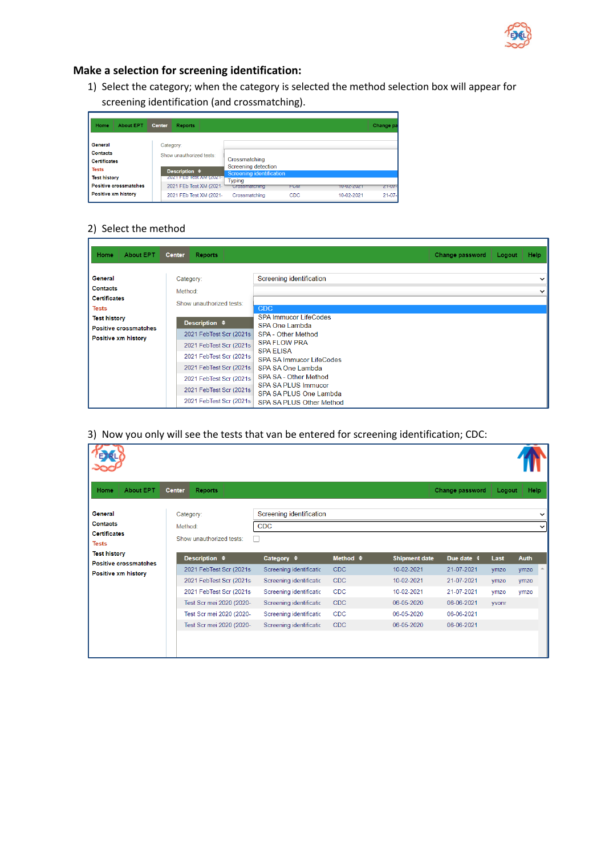

## **Make a selection for screening identification:**

1) Select the category; when the category is selected the method selection box will appear for screening identification (and crossmatching).

| Home<br><b>About EPT</b>                                                                                                                        | <b>Center</b><br><b>Reports</b>                                                                                                                    |                                                                                                                            |                   |                          | Change pa                    |
|-------------------------------------------------------------------------------------------------------------------------------------------------|----------------------------------------------------------------------------------------------------------------------------------------------------|----------------------------------------------------------------------------------------------------------------------------|-------------------|--------------------------|------------------------------|
| General<br><b>Contacts</b><br><b>Certificates</b><br><b>Tests</b><br><b>Test history</b><br><b>Positive crossmatches</b><br>Positive xm history | Category:<br>Show unauthorized tests:<br>Description $\div$<br><b>ZUZIELED TESTAMEIZUZIE</b><br>2021 FEb Test XM (2021-<br>2021 FEb Test XM (2021- | Crossmatching<br>Screening detection<br><b>Screening identification</b><br><b>Typing</b><br>Crossmatching<br>Crossmatching | FUM<br><b>CDC</b> | 10-02-2021<br>10-02-2021 | $ZT = 07 -$<br>$21 - 07 - 1$ |

## 2) Select the method

| <b>About EPT</b><br>Home                                                                          | <b>Center</b><br><b>Reports</b>                                                                                                                                                                                       | Change password                                                                                                                                                                                                                                                                                                  | <b>Help</b><br>Logout        |
|---------------------------------------------------------------------------------------------------|-----------------------------------------------------------------------------------------------------------------------------------------------------------------------------------------------------------------------|------------------------------------------------------------------------------------------------------------------------------------------------------------------------------------------------------------------------------------------------------------------------------------------------------------------|------------------------------|
| General<br><b>Contacts</b><br><b>Certificates</b>                                                 | Category:<br>Method:<br>Show unauthorized tests:                                                                                                                                                                      | Screening identification                                                                                                                                                                                                                                                                                         | $\checkmark$<br>$\checkmark$ |
| <b>Tests</b><br><b>Test history</b><br><b>Positive crossmatches</b><br><b>Positive xm history</b> | Description $\div$<br>2021 FebTest Scr (2021s<br>2021 FebTest Scr (2021s)<br>2021 FebTest Scr (2021s)<br>2021 FebTest Scr (2021s)<br>2021 FebTest Scr (2021s)<br>2021 FebTest Scr (2021s)<br>2021 FebTest Scr (2021s) | <b>CDC</b><br>SPA Immucor LifeCodes<br>SPA One Lambda<br><b>SPA - Other Method</b><br><b>SPA FLOW PRA</b><br><b>SPA ELISA</b><br><b>SPA SA Immucor LifeCodes</b><br>SPA SA One Lambda<br><b>SPA SA - Other Method</b><br><b>SPA SA PLUS Immucor</b><br>SPA SA PLUS One Lambda<br><b>SPA SA PLUS Other Method</b> |                              |

3) Now you only will see the tests that van be entered for screening identification; CDC:

| <b>About EPT</b><br>Home                                                 | <b>Center</b><br><b>Reports</b>                  |                                                  |                     |                      | Change password | Logout | Help                        |
|--------------------------------------------------------------------------|--------------------------------------------------|--------------------------------------------------|---------------------|----------------------|-----------------|--------|-----------------------------|
| <b>General</b><br><b>Contacts</b><br><b>Certificates</b><br><b>Tests</b> | Category:<br>Method:<br>Show unauthorized tests: | Screening identification<br><b>CDC</b><br>$\Box$ |                     |                      |                 |        | $\check{ }$<br>$\checkmark$ |
| <b>Test history</b><br><b>Positive crossmatches</b>                      | Description $\triangleq$                         | Category $\div$                                  | Method $\triangleq$ | <b>Shipment date</b> | Due date 4      | Last   | <b>Auth</b>                 |
| Positive xm history                                                      | 2021 FebTest Scr (2021s)                         | Screening identificatic                          | <b>CDC</b>          | 10-02-2021           | 21-07-2021      | ymzo   | $\Delta$<br>ymzo            |
|                                                                          | 2021 FebTest Scr (2021s)                         | Screening identificatio                          | <b>CDC</b>          | 10-02-2021           | 21-07-2021      | ymzo   | ymzo                        |
|                                                                          | 2021 FebTest Scr (2021s)                         | Screening identificatic                          | <b>CDC</b>          | 10-02-2021           | 21-07-2021      | ymzo   | ymzo                        |
|                                                                          | Test Scr mei 2020 (2020-                         | Screening identificatio                          | <b>CDC</b>          | 06-05-2020           | 06-06-2021      | yvonr  |                             |
|                                                                          | Test Scr mei 2020 (2020-                         | Screening identificatio                          | CDC                 | 06-05-2020           | 06-06-2021      |        |                             |
|                                                                          | Test Scr mei 2020 (2020-                         | Screening identificatic                          | <b>CDC</b>          | 06-05-2020           | 06-06-2021      |        |                             |
|                                                                          |                                                  |                                                  |                     |                      |                 |        |                             |